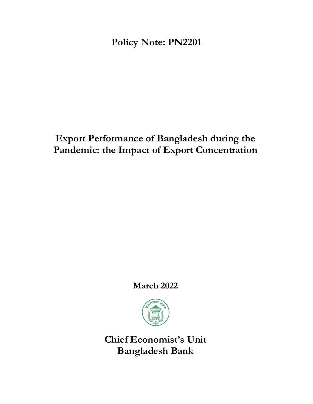**Policy Note: PN2201**

# **Export Performance of Bangladesh during the Pandemic: the Impact of Export Concentration**

**March 2022**



**Chief Economist's Unit Bangladesh Bank**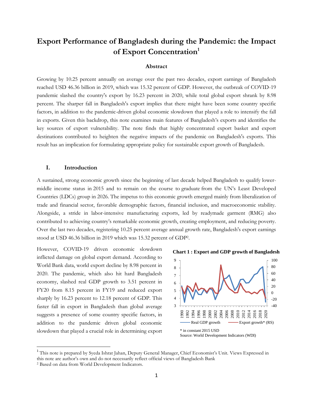# **Export Performance of Bangladesh during the Pandemic: the Impact of Export Concentration<sup>1</sup>**

#### **Abstract**

Growing by 10.25 percent annually on average over the past two decades, export earnings of Bangladesh reached USD 46.36 billion in 2019, which was 15.32 percent of GDP. However, the outbreak of COVID-19 pandemic slashed the country's export by 16.23 percent in 2020, while total global export shrank by 8.98 percent. The sharper fall in Bangladesh's export implies that there might have been some country specific factors, in addition to the pandemic-driven global economic slowdown that played a role to intensify the fall in exports. Given this backdrop, this note examines main features of Bangladesh's exports and identifies the key sources of export vulnerability. The note finds that highly concentrated export basket and export destinations contributed to heighten the negative impacts of the pandemic on Bangladesh's exports. This result has an implication for formulating appropriate policy for sustainable export growth of Bangladesh.

### **I. Introduction**

A sustained, strong economic growth since the beginning of last decade helped Bangladesh to qualify lowermiddle income status in 2015 and to remain on the course to graduate from the UN's Least Developed Countries (LDCs) group in 2026. The impetus to this economic growth emerged mainly from liberalization of trade and financial sector, favorable demographic factors, financial inclusion, and macroeconomic stability. Alongside, a stride in labor-intensive manufacturing exports, led by readymade garment (RMG) also contributed to achieving country's remarkable economic growth, creating employment, and reducing poverty. Over the last two decades, registering 10.25 percent average annual growth rate, Bangladesh's export earnings stood at USD 46.36 billion in 2019 which was 15.32 percent of GDP<sup>2</sup> .

However, COVID-19 driven economic slowdown inflicted damage on global export demand. According to World Bank data, world export decline by 8.98 percent in 2020. The pandemic, which also hit hard Bangladesh economy, slashed real GDP growth to 3.51 percent in FY20 from 8.15 percent in FY19 and reduced export sharply by 16.23 percent to 12.18 percent of GDP. This faster fall in export in Bangladesh than global average suggests a presence of some country specific factors, in addition to the pandemic driven global economic slowdown that played a crucial role in determining export

**Chart 1 : Export and GDP growth of Bangladesh**



<sup>&</sup>lt;sup>1</sup> This note is prepared by Syeda Ishrat Jahan, Deputy General Manager, Chief Economist's Unit. Views Expressed in this note are author's own and do not necessarily reflect official views of Bangladesh Bank

 $\overline{\phantom{a}}$ 

<sup>2</sup> Based on data from World Development Indicators.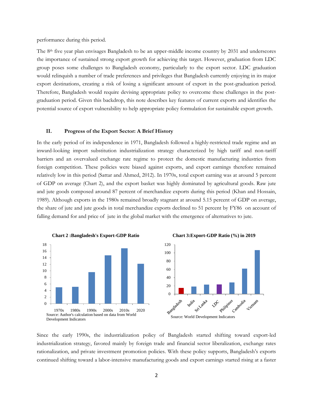performance during this period.

The 8<sup>th</sup> five year plan envisages Bangladesh to be an upper-middle income country by 2031 and underscores the importance of sustained strong export growth for achieving this target. However, graduation from LDC group poses some challenges to Bangladesh economy, particularly to the export sector. LDC graduation would relinquish a number of trade preferences and privileges that Bangladesh currently enjoying in its major export destinations, creating a risk of losing a significant amount of export in the post-graduation period. Therefore, Bangladesh would require devising appropriate policy to overcome these challenges in the postgraduation period. Given this backdrop, this note describes key features of current exports and identifies the potential source of export vulnerability to help appropriate policy formulation for sustainable export growth.

#### **II. Progress of the Export Sector: A Brief History**

In the early period of its independence in 1971, Bangladesh followed a highly-restricted trade regime and an inward-looking import substitution industrialization strategy characterized by high tariff and non-tariff barriers and an overvalued exchange rate regime to protect the domestic manufacturing industries from foreign competition. These policies were biased against exports, and export earnings therefore remained relatively low in this period (Sattar and Ahmed, 2012). In 1970s, total export earning was at around 5 percent of GDP on average (Chart 2), and the export basket was highly dominated by agricultural goods. Raw jute and jute goods composed around 87 percent of merchandize exports during this period (Khan and Hossain, 1989). Although exports in the 1980s remained broadly stagnant at around 5.15 percent of GDP on average, the share of jute and jute goods in total merchandize exports declined to 51 percent by FY86 on account of falling demand for and price of jute in the global market with the emergence of alternatives to jute.







Since the early 1990s, the industrialization policy of Bangladesh started shifting toward export-led industrialization strategy, favored mainly by foreign trade and financial sector liberalization, exchange rates rationalization, and private investment promotion policies. With these policy supports, Bangladesh's exports continued shifting toward a labor-intensive manufacturing goods and export earnings started rising at a faster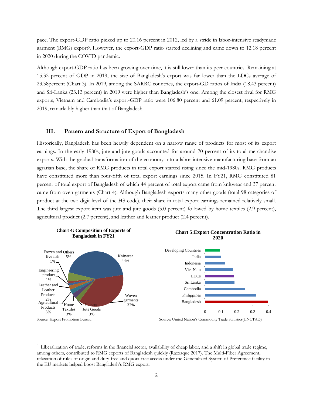pace. The export-GDP ratio picked up to 20.16 percent in 2012, led by a stride in labor-intensive readymade garment (RMG) export<sup>3</sup>. However, the export-GDP ratio started declining and came down to 12.18 percent in 2020 during the COVID pandemic.

Although export-GDP ratio has been growing over time, it is still lower than its peer countries. Remaining at 15.32 percent of GDP in 2019, the size of Bangladesh's export was far lower than the LDCs average of 23.38percent (Chart 3). In 2019, among the SARRC countries, the export-GD ratios of India (18.43 percent) and Sri-Lanka (23.13 percent) in 2019 were higher than Bangladesh's one. Among the closest rival for RMG exports, Vietnam and Cambodia's export-GDP ratio were 106.80 percent and 61.09 percent, respectively in 2019, remarkably higher than that of Bangladesh.

#### **III. Pattern and Structure of Export of Bangladesh**

Historically, Bangladesh has been heavily dependent on a narrow range of products for most of its export earnings. In the early 1980s, jute and jute goods accounted for around 70 percent of its total merchandise exports. With the gradual transformation of the economy into a labor-intensive manufacturing base from an agrarian base, the share of RMG products in total export started rising since the mid-1980s. RMG products have constituted more than four-fifth of total export earnings since 2015. In FY21, RMG constituted 81 percent of total export of Bangladesh of which 44 percent of total export came from knitwear and 37 percent came from oven garments (Chart 4). Although Bangladesh exports many other goods (total 98 categories of product at the two digit level of the HS code), their share in total export earnings remained relatively small. The third largest export item was jute and jute goods (3.0 percent) followed by home textiles (2.9 percent), agricultural product (2.7 percent), and leather and leather product (2.4 percent).





 $\overline{\phantom{a}}$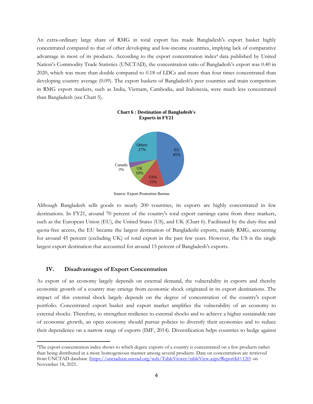An extra-ordinary large share of RMG in total export has made Bangladesh's export basket highly concentrated compared to that of other developing and low-income countries, implying lack of comparative advantage in most of its products. According to the export concentration index<sup>4</sup> data published by United Nation's Commodity Trade Statistics (UNCTAD), the concentration ratio of Bangladesh's export was 0.40 in 2020, which was more than double compared to 0.18 of LDCs and more than four times concentrated than developing country average (0.09). The export baskets of Bangladesh's peer countries and main competitors in RMG export markets, such as India, Vietnam, Cambodia, and Indonesia, were much less concentrated than Bangladesh (see Chart 5).



## **Chart 6 : Destination of Bangladesh's Exports in FY21**

Source: Export Promotion Bureau

Although Bangladesh sells goods to nearly 200 countries, its exports are highly concentrated in few destinations. In FY21, around 70 percent of the country's total export earnings came from three markers, such as the European Union (EU), the United States (US), and UK (Chart 6). Facilitated by the duty-free and quota-free access, the EU became the largest destination of Bangladeshi exports, mainly RMG, accounting for around 45 percent (excluding UK) of total export in the past few years. However, the US is the single largest export destination that accounted for around 15 percent of Bangladesh's exports.

#### **IV. Disadvantages of Export Concentration**

l

As export of an economy largely depends on external demand, the vulnerability in exports and thereby economic growth of a country may emerge from economic shock originated in its export destinations. The impact of this external shock largely depends on the degree of concentration of the country's export portfolio. Concentrated export basket and export market amplifies the vulnerability of an economy to external shocks. Therefore, to strengthen resilience to external shocks and to achieve a higher sustainable rate of economic growth, an open economy should pursue policies to diversify their economies and to reduce their dependence on a narrow range of exports (IMF, 2014). Diversification helps countries to hedge against

<sup>4</sup>The export concentration index shows to which degree exports of a country is concentrated on a few products rather than being distributed in a more homogeneous manner among several products. Data on concentration are retrieved from UNCTAD database [\(https://unctadstat.unctad.org/wds/TableViewer/tableView.aspx?ReportId=120\)](https://unctadstat.unctad.org/wds/TableViewer/tableView.aspx?ReportId=120) on November 18, 2021.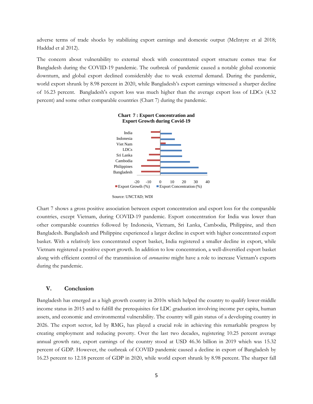adverse terms of trade shocks by stabilizing export earnings and domestic output (McIntyre et al 2018; Haddad et al 2012).

The concern about vulnerability to external shock with concentrated export structure comes true for Bangladesh during the COVID-19 pandemic. The outbreak of pandemic caused a notable global economic downturn, and global export declined considerably due to weak external demand. During the pandemic, world export shrunk by 8.98 percent in 2020, while Bangladesh's export earnings witnessed a sharper decline of 16.23 percent. Bangladesh's export loss was much higher than the average export loss of LDCs (4.32 percent) and some other comparable countries (Chart 7) during the pandemic.





Chart 7 shows a gross positive association between export concentration and export loss for the comparable countries, except Vietnam, during COVID-19 pandemic. Export concentration for India was lower than other comparable countries followed by Indonesia, Vietnam, Sri Lanka, Cambodia, Philippine, and then Bangladesh. Bangladesh and Philippine experienced a larger decline in export with higher concentrated export basket. With a relatively less concentrated export basket, India registered a smaller decline in export, while Vietnam registered a positive export growth. In addition to low concentration, a well-diversified export basket along with efficient control of the transmission of *coronavirus* might have a role to increase Vietnam's exports during the pandemic.

#### **V. Conclusion**

Bangladesh has emerged as a high growth country in 2010s which helped the country to qualify lower-middle income status in 2015 and to fulfill the prerequisites for LDC graduation involving income per capita, human assets, and economic and environmental vulnerability. The country will gain status of a developing country in 2026. The export sector, led by RMG, has played a crucial role in achieving this remarkable progress by creating employment and reducing poverty. Over the last two decades, registering 10.25 percent average annual growth rate, export earnings of the country stood at USD 46.36 billion in 2019 which was 15.32 percent of GDP. However, the outbreak of COVID pandemic caused a decline in export of Bangladesh by 16.23 percent to 12.18 percent of GDP in 2020, while world export shrunk by 8.98 percent. The sharper fall

Source: UNCTAD; WDI